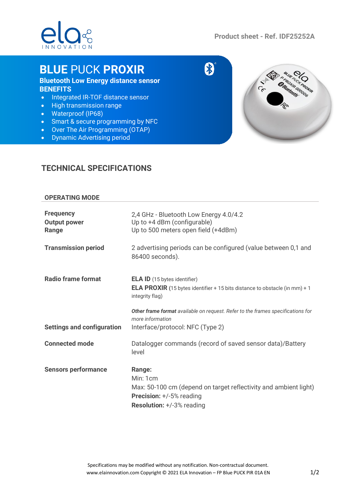

s

8

# **BLUE** PUCK **PROXIR**

# **Bluetooth Low Energy distance sensor BENEFITS**

- Integrated IR-TOF distance sensor
- High transmission range
- Waterproof (IP68)
- Smart & secure programming by NFC
- Over The Air Programming (OTAP)
- Dynamic Advertising period



## **TECHNICAL SPECIFICATIONS**

### **OPERATING MODE**

| <b>Frequency</b><br><b>Output power</b><br>Range | 2,4 GHz - Bluetooth Low Energy 4.0/4.2<br>Up to +4 dBm (configurable)<br>Up to 500 meters open field (+4dBm)                                                  |
|--------------------------------------------------|---------------------------------------------------------------------------------------------------------------------------------------------------------------|
| <b>Transmission period</b>                       | 2 advertising periods can be configured (value between 0,1 and<br>86400 seconds).                                                                             |
| <b>Radio frame format</b>                        | <b>ELA ID</b> (15 bytes identifier)<br><b>ELA PROXIR</b> (15 bytes identifier + 15 bits distance to obstacle (in mm) + 1<br>integrity flag)                   |
| <b>Settings and configuration</b>                | Other frame format available on request. Refer to the frames specifications for<br>more information<br>Interface/protocol: NFC (Type 2)                       |
| <b>Connected mode</b>                            | Datalogger commands (record of saved sensor data)/Battery<br>level                                                                                            |
| <b>Sensors performance</b>                       | Range:<br>Min: 1cm<br>Max: 50-100 cm (depend on target reflectivity and ambient light)<br><b>Precision:</b> +/-5% reading<br><b>Resolution:</b> +/-3% reading |